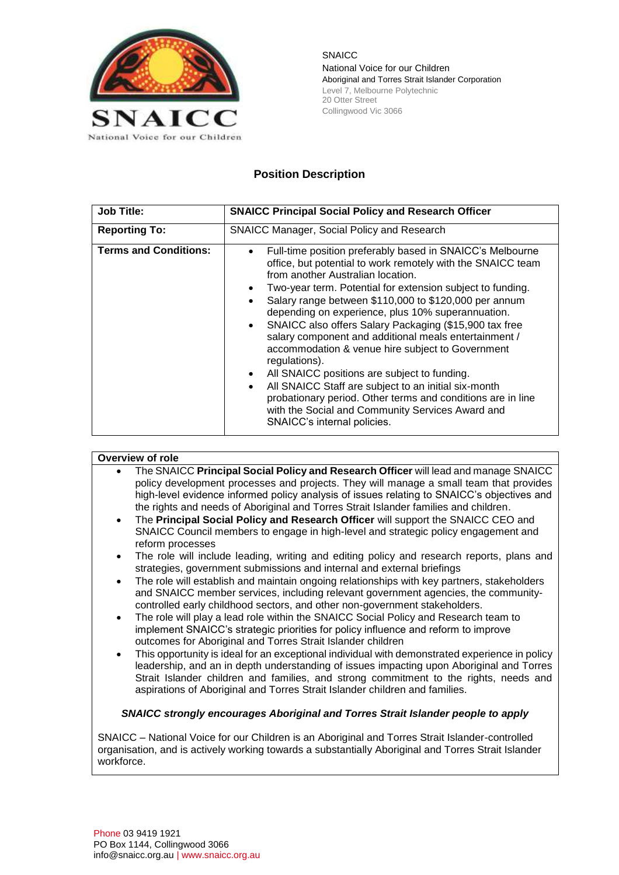

SNAICC National Voice for our Children Aboriginal and Torres Strait Islander Corporation Level 7, Melbourne Polytechnic 20 Otter Street Collingwood Vic 3066

# **Position Description**

| <b>Job Title:</b>            | <b>SNAICC Principal Social Policy and Research Officer</b>                                                                                                                                                                                                                                                                                                                                                                                                                                                                                                                                                                                                                                                                                                                                                                                                                |
|------------------------------|---------------------------------------------------------------------------------------------------------------------------------------------------------------------------------------------------------------------------------------------------------------------------------------------------------------------------------------------------------------------------------------------------------------------------------------------------------------------------------------------------------------------------------------------------------------------------------------------------------------------------------------------------------------------------------------------------------------------------------------------------------------------------------------------------------------------------------------------------------------------------|
| <b>Reporting To:</b>         | <b>SNAICC Manager, Social Policy and Research</b>                                                                                                                                                                                                                                                                                                                                                                                                                                                                                                                                                                                                                                                                                                                                                                                                                         |
| <b>Terms and Conditions:</b> | Full-time position preferably based in SNAICC's Melbourne<br>$\bullet$<br>office, but potential to work remotely with the SNAICC team<br>from another Australian location.<br>Two-year term. Potential for extension subject to funding.<br>$\bullet$<br>Salary range between \$110,000 to \$120,000 per annum<br>$\bullet$<br>depending on experience, plus 10% superannuation.<br>SNAICC also offers Salary Packaging (\$15,900 tax free<br>$\bullet$<br>salary component and additional meals entertainment /<br>accommodation & venue hire subject to Government<br>regulations).<br>All SNAICC positions are subject to funding.<br>$\bullet$<br>All SNAICC Staff are subject to an initial six-month<br>$\bullet$<br>probationary period. Other terms and conditions are in line<br>with the Social and Community Services Award and<br>SNAICC's internal policies. |

### **Overview of role**

- The SNAICC **Principal Social Policy and Research Officer** will lead and manage SNAICC policy development processes and projects. They will manage a small team that provides high-level evidence informed policy analysis of issues relating to SNAICC's objectives and the rights and needs of Aboriginal and Torres Strait Islander families and children.
- The **Principal Social Policy and Research Officer** will support the SNAICC CEO and SNAICC Council members to engage in high-level and strategic policy engagement and reform processes
- The role will include leading, writing and editing policy and research reports, plans and strategies, government submissions and internal and external briefings
- The role will establish and maintain ongoing relationships with key partners, stakeholders and SNAICC member services, including relevant government agencies, the communitycontrolled early childhood sectors, and other non-government stakeholders.
- The role will play a lead role within the SNAICC Social Policy and Research team to implement SNAICC's strategic priorities for policy influence and reform to improve outcomes for Aboriginal and Torres Strait Islander children
- This opportunity is ideal for an exceptional individual with demonstrated experience in policy leadership, and an in depth understanding of issues impacting upon Aboriginal and Torres Strait Islander children and families, and strong commitment to the rights, needs and aspirations of Aboriginal and Torres Strait Islander children and families.

### *SNAICC strongly encourages Aboriginal and Torres Strait Islander people to apply*

SNAICC – National Voice for our Children is an Aboriginal and Torres Strait Islander-controlled organisation, and is actively working towards a substantially Aboriginal and Torres Strait Islander workforce.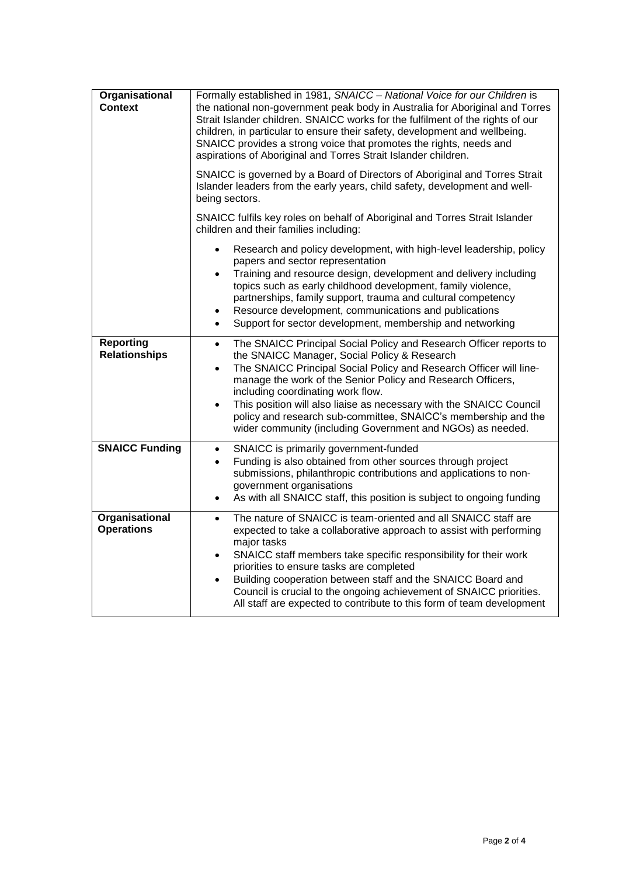| Organisational<br><b>Context</b>         | Formally established in 1981, SNAICC - National Voice for our Children is<br>the national non-government peak body in Australia for Aboriginal and Torres<br>Strait Islander children. SNAICC works for the fulfilment of the rights of our<br>children, in particular to ensure their safety, development and wellbeing.<br>SNAICC provides a strong voice that promotes the rights, needs and<br>aspirations of Aboriginal and Torres Strait Islander children.                                                                          |
|------------------------------------------|--------------------------------------------------------------------------------------------------------------------------------------------------------------------------------------------------------------------------------------------------------------------------------------------------------------------------------------------------------------------------------------------------------------------------------------------------------------------------------------------------------------------------------------------|
|                                          | SNAICC is governed by a Board of Directors of Aboriginal and Torres Strait<br>Islander leaders from the early years, child safety, development and well-<br>being sectors.                                                                                                                                                                                                                                                                                                                                                                 |
|                                          | SNAICC fulfils key roles on behalf of Aboriginal and Torres Strait Islander<br>children and their families including:                                                                                                                                                                                                                                                                                                                                                                                                                      |
|                                          | Research and policy development, with high-level leadership, policy<br>$\bullet$<br>papers and sector representation<br>Training and resource design, development and delivery including<br>$\bullet$<br>topics such as early childhood development, family violence,<br>partnerships, family support, trauma and cultural competency<br>Resource development, communications and publications<br>$\bullet$<br>Support for sector development, membership and networking<br>$\bullet$                                                      |
| <b>Reporting</b><br><b>Relationships</b> | The SNAICC Principal Social Policy and Research Officer reports to<br>$\bullet$<br>the SNAICC Manager, Social Policy & Research<br>The SNAICC Principal Social Policy and Research Officer will line-<br>$\bullet$<br>manage the work of the Senior Policy and Research Officers,<br>including coordinating work flow.<br>This position will also liaise as necessary with the SNAICC Council<br>$\bullet$<br>policy and research sub-committee, SNAICC's membership and the<br>wider community (including Government and NGOs) as needed. |
| <b>SNAICC Funding</b>                    | SNAICC is primarily government-funded<br>$\bullet$<br>Funding is also obtained from other sources through project<br>$\bullet$<br>submissions, philanthropic contributions and applications to non-<br>government organisations<br>As with all SNAICC staff, this position is subject to ongoing funding<br>$\bullet$                                                                                                                                                                                                                      |
| Organisational<br><b>Operations</b>      | The nature of SNAICC is team-oriented and all SNAICC staff are<br>$\bullet$<br>expected to take a collaborative approach to assist with performing<br>major tasks<br>SNAICC staff members take specific responsibility for their work<br>$\bullet$<br>priorities to ensure tasks are completed<br>Building cooperation between staff and the SNAICC Board and<br>$\bullet$<br>Council is crucial to the ongoing achievement of SNAICC priorities.<br>All staff are expected to contribute to this form of team development                 |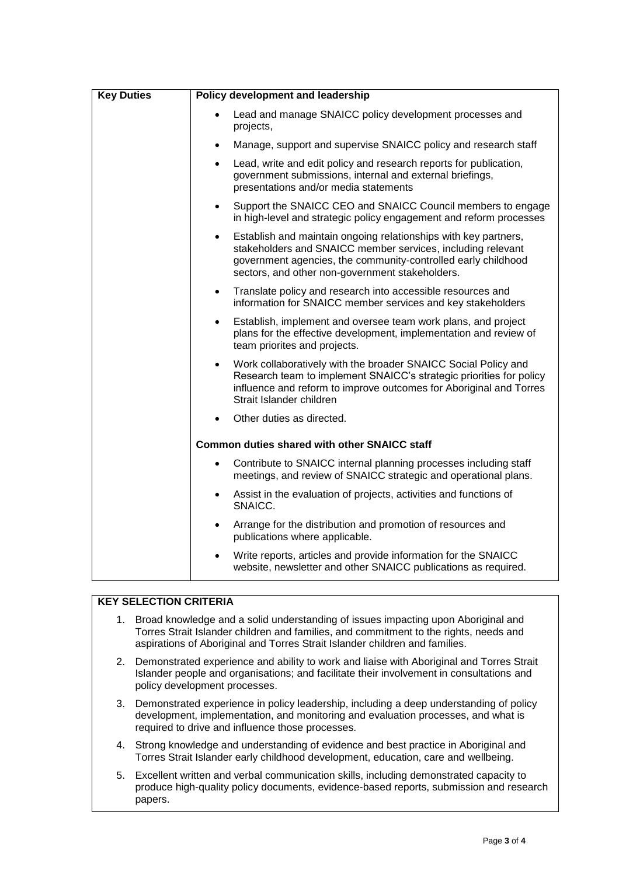| <b>Key Duties</b> | Policy development and leadership                                                                                                                                                                                                                               |
|-------------------|-----------------------------------------------------------------------------------------------------------------------------------------------------------------------------------------------------------------------------------------------------------------|
|                   | Lead and manage SNAICC policy development processes and<br>$\bullet$<br>projects,                                                                                                                                                                               |
|                   | Manage, support and supervise SNAICC policy and research staff<br>$\bullet$                                                                                                                                                                                     |
|                   | Lead, write and edit policy and research reports for publication,<br>$\bullet$<br>government submissions, internal and external briefings,<br>presentations and/or media statements                                                                             |
|                   | Support the SNAICC CEO and SNAICC Council members to engage<br>$\bullet$<br>in high-level and strategic policy engagement and reform processes                                                                                                                  |
|                   | Establish and maintain ongoing relationships with key partners,<br>$\bullet$<br>stakeholders and SNAICC member services, including relevant<br>government agencies, the community-controlled early childhood<br>sectors, and other non-government stakeholders. |
|                   | Translate policy and research into accessible resources and<br>$\bullet$<br>information for SNAICC member services and key stakeholders                                                                                                                         |
|                   | Establish, implement and oversee team work plans, and project<br>$\bullet$<br>plans for the effective development, implementation and review of<br>team priorites and projects.                                                                                 |
|                   | Work collaboratively with the broader SNAICC Social Policy and<br>Research team to implement SNAICC's strategic priorities for policy<br>influence and reform to improve outcomes for Aboriginal and Torres<br>Strait Islander children                         |
|                   | Other duties as directed.                                                                                                                                                                                                                                       |
|                   | <b>Common duties shared with other SNAICC staff</b>                                                                                                                                                                                                             |
|                   | Contribute to SNAICC internal planning processes including staff<br>meetings, and review of SNAICC strategic and operational plans.                                                                                                                             |
|                   | Assist in the evaluation of projects, activities and functions of<br>$\bullet$<br>SNAICC.                                                                                                                                                                       |
|                   | Arrange for the distribution and promotion of resources and<br>$\bullet$<br>publications where applicable.                                                                                                                                                      |
|                   | Write reports, articles and provide information for the SNAICC<br>$\bullet$<br>website, newsletter and other SNAICC publications as required.                                                                                                                   |

## **KEY SELECTION CRITERIA**

- 1. Broad knowledge and a solid understanding of issues impacting upon Aboriginal and Torres Strait Islander children and families, and commitment to the rights, needs and aspirations of Aboriginal and Torres Strait Islander children and families.
- 2. Demonstrated experience and ability to work and liaise with Aboriginal and Torres Strait Islander people and organisations; and facilitate their involvement in consultations and policy development processes.
- 3. Demonstrated experience in policy leadership, including a deep understanding of policy development, implementation, and monitoring and evaluation processes, and what is required to drive and influence those processes.
- 4. Strong knowledge and understanding of evidence and best practice in Aboriginal and Torres Strait Islander early childhood development, education, care and wellbeing.
- 5. Excellent written and verbal communication skills, including demonstrated capacity to produce high-quality policy documents, evidence-based reports, submission and research papers.